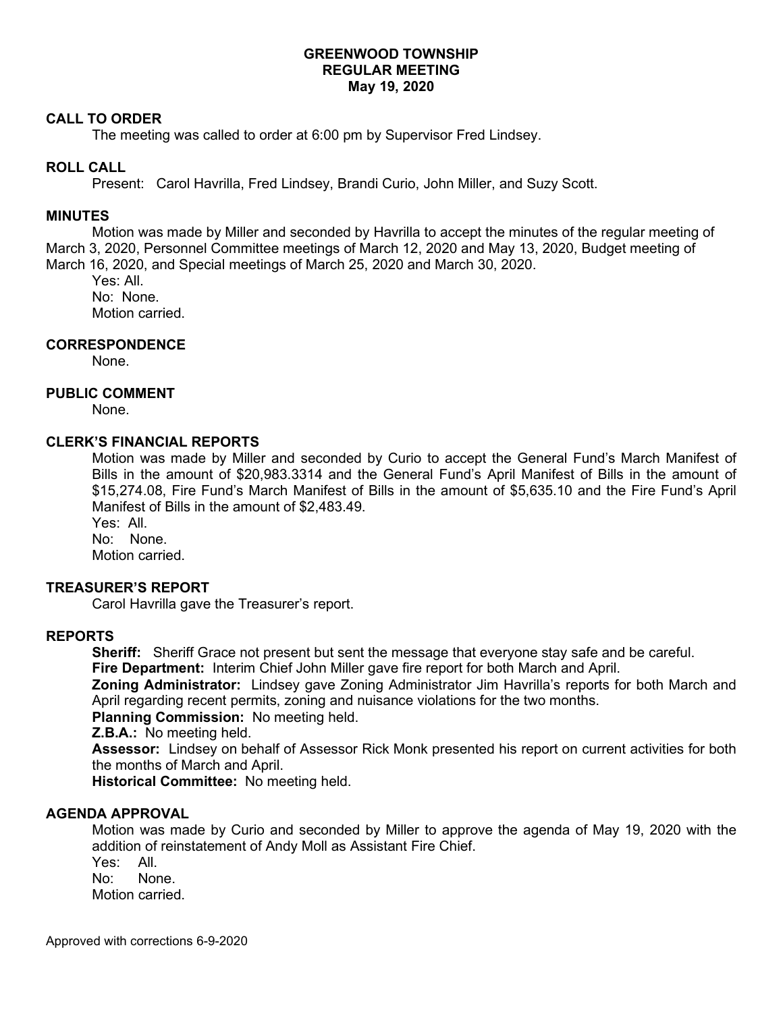# **GREENWOOD TOWNSHIP REGULAR MEETING May 19, 2020**

## **CALL TO ORDER**

The meeting was called to order at 6:00 pm by Supervisor Fred Lindsey.

## **ROLL CALL**

Present: Carol Havrilla, Fred Lindsey, Brandi Curio, John Miller, and Suzy Scott.

#### **MINUTES**

Motion was made by Miller and seconded by Havrilla to accept the minutes of the regular meeting of March 3, 2020, Personnel Committee meetings of March 12, 2020 and May 13, 2020, Budget meeting of March 16, 2020, and Special meetings of March 25, 2020 and March 30, 2020.

Yes: All. No: None. Motion carried.

# **CORRESPONDENCE**

None.

# **PUBLIC COMMENT**

None.

# **CLERK'S FINANCIAL REPORTS**

Motion was made by Miller and seconded by Curio to accept the General Fund's March Manifest of Bills in the amount of \$20,983.3314 and the General Fund's April Manifest of Bills in the amount of \$15,274.08, Fire Fund's March Manifest of Bills in the amount of \$5,635.10 and the Fire Fund's April Manifest of Bills in the amount of \$2,483.49.

Yes: All. No: None.

Motion carried.

## **TREASURER'S REPORT**

Carol Havrilla gave the Treasurer's report.

#### **REPORTS**

**Sheriff:** Sheriff Grace not present but sent the message that everyone stay safe and be careful. **Fire Department:** Interim Chief John Miller gave fire report for both March and April.

**Zoning Administrator:** Lindsey gave Zoning Administrator Jim Havrilla's reports for both March and April regarding recent permits, zoning and nuisance violations for the two months.

**Planning Commission:** No meeting held.

**Z.B.A.:** No meeting held.

**Assessor:** Lindsey on behalf of Assessor Rick Monk presented his report on current activities for both the months of March and April.

**Historical Committee:** No meeting held.

## **AGENDA APPROVAL**

Motion was made by Curio and seconded by Miller to approve the agenda of May 19, 2020 with the addition of reinstatement of Andy Moll as Assistant Fire Chief.

Yes: All.

No: None.

Motion carried.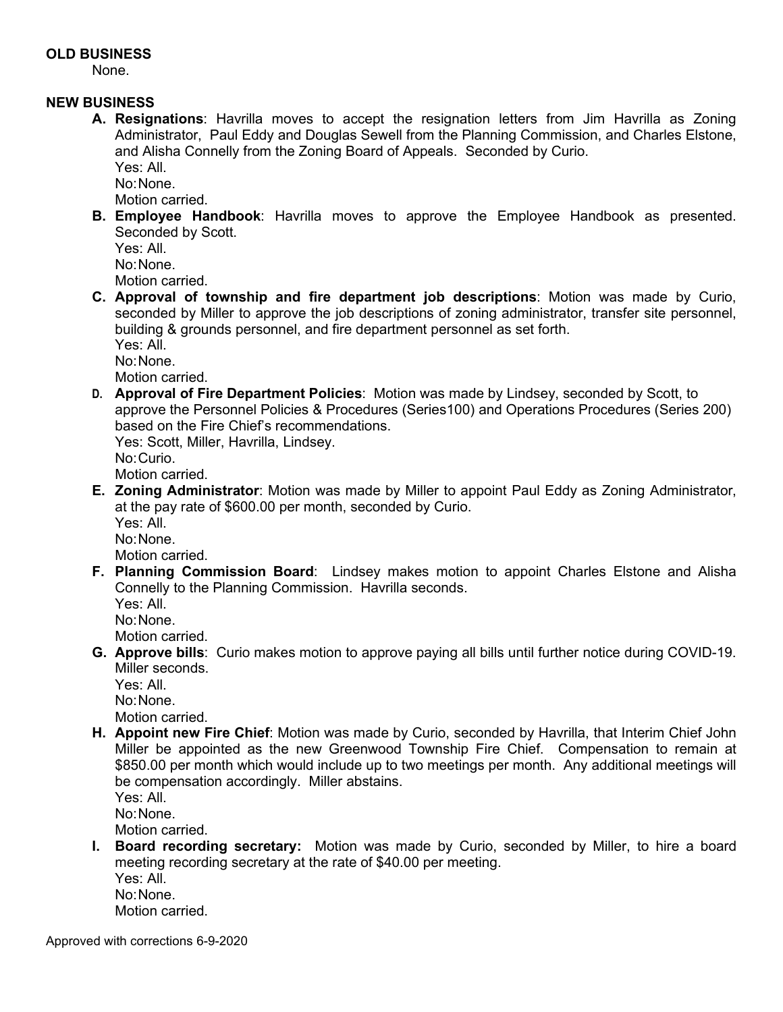# **OLD BUSINESS**

None.

# **NEW BUSINESS**

**A. Resignations**: Havrilla moves to accept the resignation letters from Jim Havrilla as Zoning Administrator, Paul Eddy and Douglas Sewell from the Planning Commission, and Charles Elstone, and Alisha Connelly from the Zoning Board of Appeals. Seconded by Curio.

Yes: All.

No: None.

Motion carried.

**B. Employee Handbook**: Havrilla moves to approve the Employee Handbook as presented. Seconded by Scott.

Yes: All. No: None.

Motion carried.

**C. Approval of township and fire department job descriptions**: Motion was made by Curio, seconded by Miller to approve the job descriptions of zoning administrator, transfer site personnel, building & grounds personnel, and fire department personnel as set forth.

Yes: All.

No: None.

Motion carried.

**D. Approval of Fire Department Policies**: Motion was made by Lindsey, seconded by Scott, to approve the Personnel Policies & Procedures (Series100) and Operations Procedures (Series 200) based on the Fire Chief's recommendations.

Yes: Scott, Miller, Havrilla, Lindsey. No: Curio. Motion carried.

- **E. Zoning Administrator**: Motion was made by Miller to appoint Paul Eddy as Zoning Administrator, at the pay rate of \$600.00 per month, seconded by Curio.
	- Yes: All.

No: None. Motion carried.

**F. Planning Commission Board**: Lindsey makes motion to appoint Charles Elstone and Alisha Connelly to the Planning Commission. Havrilla seconds.

Yes: All.

No: None.

Motion carried.

**G. Approve bills**: Curio makes motion to approve paying all bills until further notice during COVID-19. Miller seconds.

Yes: All. No: None.

Motion carried.

**H. Appoint new Fire Chief**: Motion was made by Curio, seconded by Havrilla, that Interim Chief John Miller be appointed as the new Greenwood Township Fire Chief. Compensation to remain at \$850.00 per month which would include up to two meetings per month. Any additional meetings will be compensation accordingly. Miller abstains.

Yes: All.

No: None.

Motion carried.

**I. Board recording secretary:** Motion was made by Curio, seconded by Miller, to hire a board meeting recording secretary at the rate of \$40.00 per meeting.

Yes: All. No: None. Motion carried.

Approved with corrections 6-9-2020